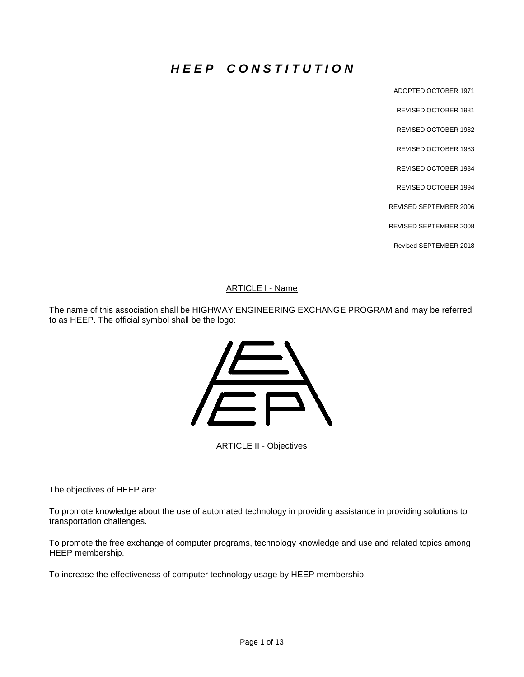# *H E E P C O N S T I T U T I O N*

ADOPTED OCTOBER 1971

REVISED OCTOBER 1981 REVISED OCTOBER 1982

REVISED OCTOBER 1983

REVISED OCTOBER 1984

REVISED OCTOBER 1994

REVISED SEPTEMBER 2006

REVISED SEPTEMBER 2008

Revised SEPTEMBER 2018

#### ARTICLE I - Name

The name of this association shall be HIGHWAY ENGINEERING EXCHANGE PROGRAM and may be referred to as HEEP. The official symbol shall be the logo:



**ARTICLE II - Objectives** 

The objectives of HEEP are:

To promote knowledge about the use of automated technology in providing assistance in providing solutions to transportation challenges.

To promote the free exchange of computer programs, technology knowledge and use and related topics among HEEP membership.

To increase the effectiveness of computer technology usage by HEEP membership.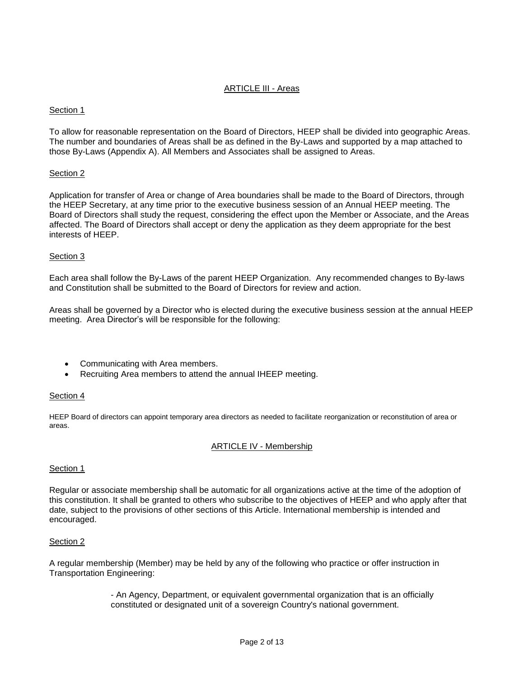## ARTICLE III - Areas

## Section 1

To allow for reasonable representation on the Board of Directors, HEEP shall be divided into geographic Areas. The number and boundaries of Areas shall be as defined in the By-Laws and supported by a map attached to those By-Laws (Appendix A). All Members and Associates shall be assigned to Areas.

#### Section 2

Application for transfer of Area or change of Area boundaries shall be made to the Board of Directors, through the HEEP Secretary, at any time prior to the executive business session of an Annual HEEP meeting. The Board of Directors shall study the request, considering the effect upon the Member or Associate, and the Areas affected. The Board of Directors shall accept or deny the application as they deem appropriate for the best interests of HEEP.

#### Section 3

Each area shall follow the By-Laws of the parent HEEP Organization. Any recommended changes to By-laws and Constitution shall be submitted to the Board of Directors for review and action.

Areas shall be governed by a Director who is elected during the executive business session at the annual HEEP meeting. Area Director's will be responsible for the following:

- Communicating with Area members.
- Recruiting Area members to attend the annual IHEEP meeting.

#### Section 4

HEEP Board of directors can appoint temporary area directors as needed to facilitate reorganization or reconstitution of area or areas.

#### ARTICLE IV - Membership

#### Section 1

Regular or associate membership shall be automatic for all organizations active at the time of the adoption of this constitution. It shall be granted to others who subscribe to the objectives of HEEP and who apply after that date, subject to the provisions of other sections of this Article. International membership is intended and encouraged.

#### Section 2

A regular membership (Member) may be held by any of the following who practice or offer instruction in Transportation Engineering:

> - An Agency, Department, or equivalent governmental organization that is an officially constituted or designated unit of a sovereign Country's national government.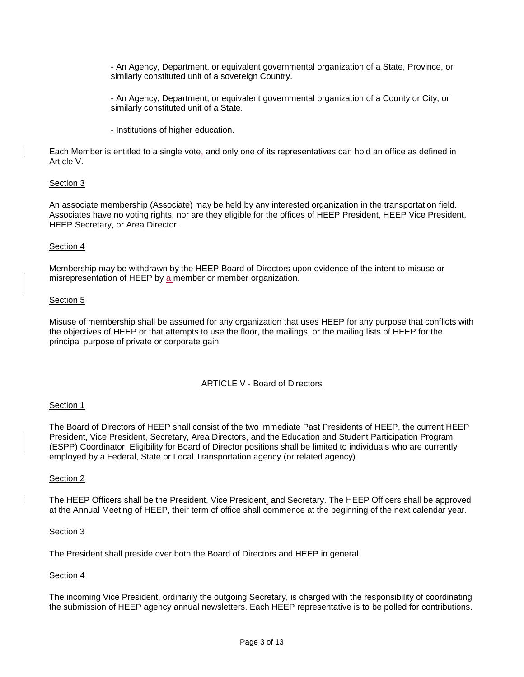- An Agency, Department, or equivalent governmental organization of a State, Province, or similarly constituted unit of a sovereign Country.

- An Agency, Department, or equivalent governmental organization of a County or City, or similarly constituted unit of a State.

- Institutions of higher education.

Each Member is entitled to a single vote, and only one of its representatives can hold an office as defined in Article V.

#### Section 3

An associate membership (Associate) may be held by any interested organization in the transportation field. Associates have no voting rights, nor are they eligible for the offices of HEEP President, HEEP Vice President, HEEP Secretary, or Area Director.

#### Section 4

Membership may be withdrawn by the HEEP Board of Directors upon evidence of the intent to misuse or misrepresentation of HEEP by a member or member organization.

#### Section 5

Misuse of membership shall be assumed for any organization that uses HEEP for any purpose that conflicts with the objectives of HEEP or that attempts to use the floor, the mailings, or the mailing lists of HEEP for the principal purpose of private or corporate gain.

# ARTICLE V - Board of Directors

#### Section 1

The Board of Directors of HEEP shall consist of the two immediate Past Presidents of HEEP, the current HEEP President, Vice President, Secretary, Area Directors, and the Education and Student Participation Program (ESPP) Coordinator. Eligibility for Board of Director positions shall be limited to individuals who are currently employed by a Federal, State or Local Transportation agency (or related agency).

#### Section 2

The HEEP Officers shall be the President, Vice President, and Secretary. The HEEP Officers shall be approved at the Annual Meeting of HEEP, their term of office shall commence at the beginning of the next calendar year.

#### Section 3

The President shall preside over both the Board of Directors and HEEP in general.

# Section 4

The incoming Vice President, ordinarily the outgoing Secretary, is charged with the responsibility of coordinating the submission of HEEP agency annual newsletters. Each HEEP representative is to be polled for contributions.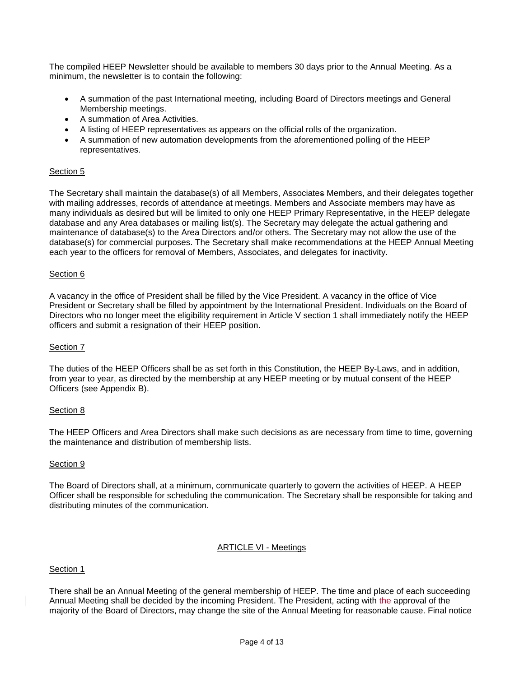The compiled HEEP Newsletter should be available to members 30 days prior to the Annual Meeting. As a minimum, the newsletter is to contain the following:

- A summation of the past International meeting, including Board of Directors meetings and General Membership meetings.
- A summation of Area Activities.
- A listing of HEEP representatives as appears on the official rolls of the organization.
- A summation of new automation developments from the aforementioned polling of the HEEP representatives.

# Section 5

The Secretary shall maintain the database(s) of all Members, Associates Members, and their delegates together with mailing addresses, records of attendance at meetings. Members and Associate members may have as many individuals as desired but will be limited to only one HEEP Primary Representative, in the HEEP delegate database and any Area databases or mailing list(s). The Secretary may delegate the actual gathering and maintenance of database(s) to the Area Directors and/or others. The Secretary may not allow the use of the database(s) for commercial purposes. The Secretary shall make recommendations at the HEEP Annual Meeting each year to the officers for removal of Members, Associates, and delegates for inactivity.

# Section 6

A vacancy in the office of President shall be filled by the Vice President. A vacancy in the office of Vice President or Secretary shall be filled by appointment by the International President. Individuals on the Board of Directors who no longer meet the eligibility requirement in Article V section 1 shall immediately notify the HEEP officers and submit a resignation of their HEEP position.

# Section 7

The duties of the HEEP Officers shall be as set forth in this Constitution, the HEEP By-Laws, and in addition, from year to year, as directed by the membership at any HEEP meeting or by mutual consent of the HEEP Officers (see Appendix B).

# Section 8

The HEEP Officers and Area Directors shall make such decisions as are necessary from time to time, governing the maintenance and distribution of membership lists.

# Section 9

The Board of Directors shall, at a minimum, communicate quarterly to govern the activities of HEEP. A HEEP Officer shall be responsible for scheduling the communication. The Secretary shall be responsible for taking and distributing minutes of the communication.

# ARTICLE VI - Meetings

# Section 1

There shall be an Annual Meeting of the general membership of HEEP. The time and place of each succeeding Annual Meeting shall be decided by the incoming President. The President, acting with the approval of the majority of the Board of Directors, may change the site of the Annual Meeting for reasonable cause. Final notice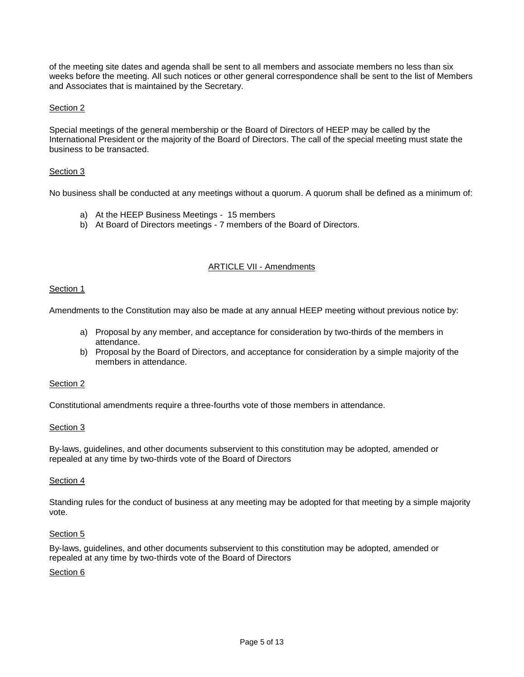of the meeting site dates and agenda shall be sent to all members and associate members no less than six weeks before the meeting. All such notices or other general correspondence shall be sent to the list of Members and Associates that is maintained by the Secretary.

#### Section 2

Special meetings of the general membership or the Board of Directors of HEEP may be called by the International President or the majority of the Board of Directors. The call of the special meeting must state the business to be transacted.

#### Section 3

No business shall be conducted at any meetings without a quorum. A quorum shall be defined as a minimum of:

- a) At the HEEP Business Meetings 15 members
- b) At Board of Directors meetings 7 members of the Board of Directors.

# ARTICLE VII - Amendments

#### Section 1

Amendments to the Constitution may also be made at any annual HEEP meeting without previous notice by:

- a) Proposal by any member, and acceptance for consideration by two-thirds of the members in attendance.
- b) Proposal by the Board of Directors, and acceptance for consideration by a simple majority of the members in attendance.

#### Section 2

Constitutional amendments require a three-fourths vote of those members in attendance.

#### Section 3

By-laws, guidelines, and other documents subservient to this constitution may be adopted, amended or repealed at any time by two-thirds vote of the Board of Directors

#### Section 4

Standing rules for the conduct of business at any meeting may be adopted for that meeting by a simple majority vote.

#### Section 5

By-laws, guidelines, and other documents subservient to this constitution may be adopted, amended or repealed at any time by two-thirds vote of the Board of Directors

#### Section 6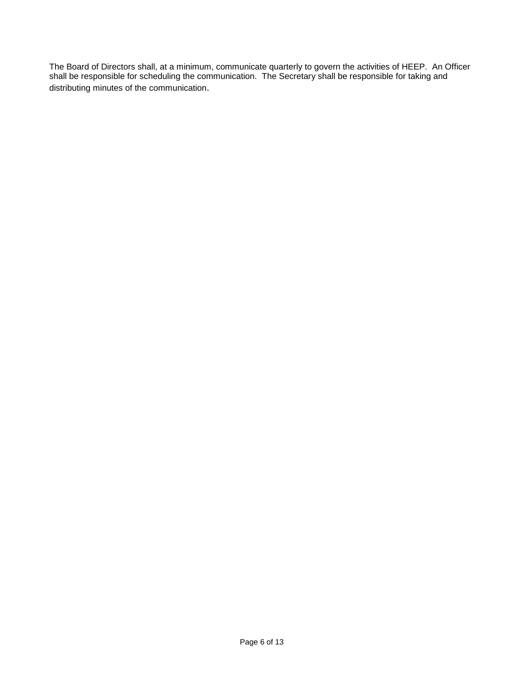The Board of Directors shall, at a minimum, communicate quarterly to govern the activities of HEEP. An Officer shall be responsible for scheduling the communication. The Secretary shall be responsible for taking and distributing minutes of the communication.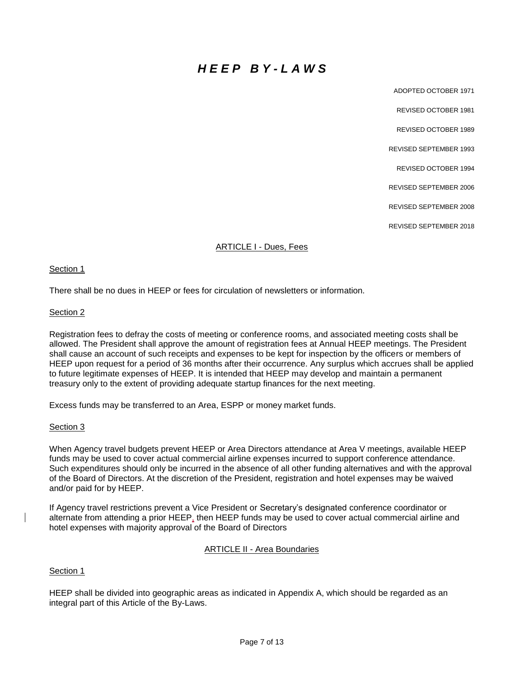# *H E E P B Y - L A W S*

ADOPTED OCTOBER 1971 REVISED OCTOBER 1981 REVISED OCTOBER 1989 REVISED SEPTEMBER 1993 REVISED OCTOBER 1994 REVISED SEPTEMBER 2006 REVISED SEPTEMBER 2008 REVISED SEPTEMBER 2018

#### ARTICLE I - Dues, Fees

#### Section 1

There shall be no dues in HEEP or fees for circulation of newsletters or information.

#### Section 2

Registration fees to defray the costs of meeting or conference rooms, and associated meeting costs shall be allowed. The President shall approve the amount of registration fees at Annual HEEP meetings. The President shall cause an account of such receipts and expenses to be kept for inspection by the officers or members of HEEP upon request for a period of 36 months after their occurrence. Any surplus which accrues shall be applied to future legitimate expenses of HEEP. It is intended that HEEP may develop and maintain a permanent treasury only to the extent of providing adequate startup finances for the next meeting.

Excess funds may be transferred to an Area, ESPP or money market funds.

#### Section 3

When Agency travel budgets prevent HEEP or Area Directors attendance at Area V meetings, available HEEP funds may be used to cover actual commercial airline expenses incurred to support conference attendance. Such expenditures should only be incurred in the absence of all other funding alternatives and with the approval of the Board of Directors. At the discretion of the President, registration and hotel expenses may be waived and/or paid for by HEEP.

If Agency travel restrictions prevent a Vice President or Secretary's designated conference coordinator or alternate from attending a prior HEEP, then HEEP funds may be used to cover actual commercial airline and hotel expenses with majority approval of the Board of Directors

#### ARTICLE II - Area Boundaries

Section 1

HEEP shall be divided into geographic areas as indicated in Appendix A, which should be regarded as an integral part of this Article of the By-Laws.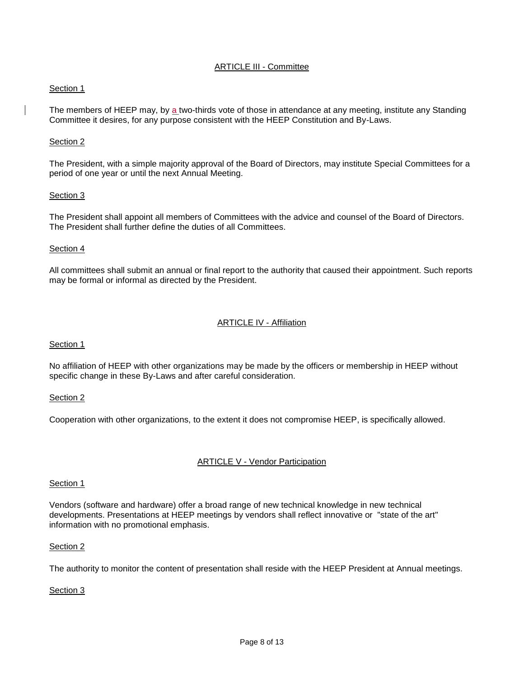# ARTICLE III - Committee

#### Section 1

The members of HEEP may, by a two-thirds vote of those in attendance at any meeting, institute any Standing Committee it desires, for any purpose consistent with the HEEP Constitution and By-Laws.

#### Section 2

The President, with a simple majority approval of the Board of Directors, may institute Special Committees for a period of one year or until the next Annual Meeting.

#### Section 3

The President shall appoint all members of Committees with the advice and counsel of the Board of Directors. The President shall further define the duties of all Committees.

#### Section 4

All committees shall submit an annual or final report to the authority that caused their appointment. Such reports may be formal or informal as directed by the President.

#### ARTICLE IV - Affiliation

Section 1

No affiliation of HEEP with other organizations may be made by the officers or membership in HEEP without specific change in these By-Laws and after careful consideration.

#### Section 2

Cooperation with other organizations, to the extent it does not compromise HEEP, is specifically allowed.

# ARTICLE V - Vendor Participation

#### Section 1

Vendors (software and hardware) offer a broad range of new technical knowledge in new technical developments. Presentations at HEEP meetings by vendors shall reflect innovative or "state of the art" information with no promotional emphasis.

#### Section 2

The authority to monitor the content of presentation shall reside with the HEEP President at Annual meetings.

# Section 3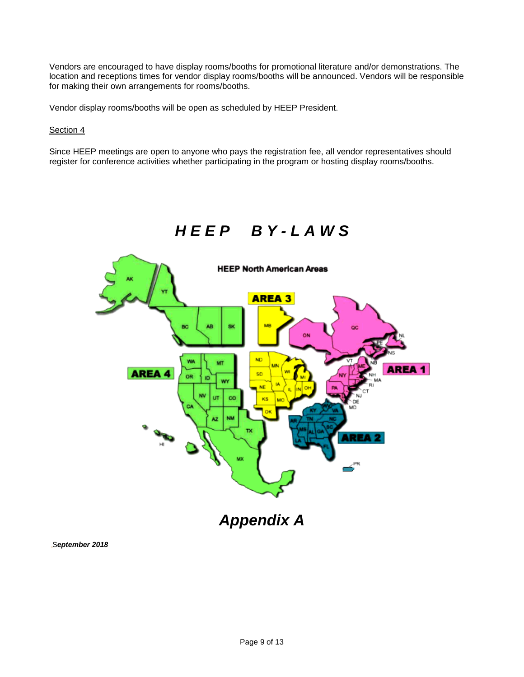Vendors are encouraged to have display rooms/booths for promotional literature and/or demonstrations. The location and receptions times for vendor display rooms/booths will be announced. Vendors will be responsible for making their own arrangements for rooms/booths.

Vendor display rooms/booths will be open as scheduled by HEEP President.

#### Section 4

Since HEEP meetings are open to anyone who pays the registration fee, all vendor representatives should register for conference activities whether participating in the program or hosting display rooms/booths.

# *H E E P B Y - L A W S*



S*eptember 2018*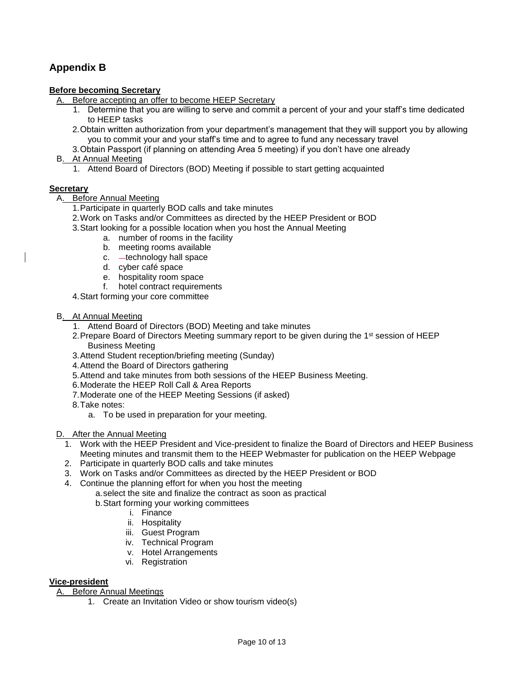# **Appendix B**

## **Before becoming Secretary**

- A. Before accepting an offer to become HEEP Secretary
	- 1. Determine that you are willing to serve and commit a percent of your and your staff's time dedicated to HEEP tasks
	- 2.Obtain written authorization from your department's management that they will support you by allowing you to commit your and your staff's time and to agree to fund any necessary travel
	- 3.Obtain Passport (if planning on attending Area 5 meeting) if you don't have one already
- B. At Annual Meeting
	- 1. Attend Board of Directors (BOD) Meeting if possible to start getting acquainted

#### **Secretary**

#### A. Before Annual Meeting

- 1.Participate in quarterly BOD calls and take minutes
- 2.Work on Tasks and/or Committees as directed by the HEEP President or BOD
- 3.Start looking for a possible location when you host the Annual Meeting
	- a. number of rooms in the facility
	- b. meeting rooms available
	- c. technology hall space
	- d. cyber café space
	- e. hospitality room space
	- f. hotel contract requirements
- 4.Start forming your core committee
- B. At Annual Meeting
	- 1. Attend Board of Directors (BOD) Meeting and take minutes
	- 2. Prepare Board of Directors Meeting summary report to be given during the 1<sup>st</sup> session of HEEP Business Meeting
	- 3.Attend Student reception/briefing meeting (Sunday)
	- 4.Attend the Board of Directors gathering
	- 5.Attend and take minutes from both sessions of the HEEP Business Meeting.
	- 6.Moderate the HEEP Roll Call & Area Reports
	- 7.Moderate one of the HEEP Meeting Sessions (if asked)
	- 8.Take notes:
		- a. To be used in preparation for your meeting.
- D. After the Annual Meeting
	- 1. Work with the HEEP President and Vice-president to finalize the Board of Directors and HEEP Business Meeting minutes and transmit them to the HEEP Webmaster for publication on the HEEP Webpage
	- 2. Participate in quarterly BOD calls and take minutes
	- 3. Work on Tasks and/or Committees as directed by the HEEP President or BOD
	- 4. Continue the planning effort for when you host the meeting
		- a.select the site and finalize the contract as soon as practical
		- b.Start forming your working committees
			- i. Finance
			- ii. Hospitality
			- iii. Guest Program
			- iv. Technical Program
			- v. Hotel Arrangements
			- vi. Registration

# **Vice-president**

A. Before Annual Meetings

1. Create an Invitation Video or show tourism video(s)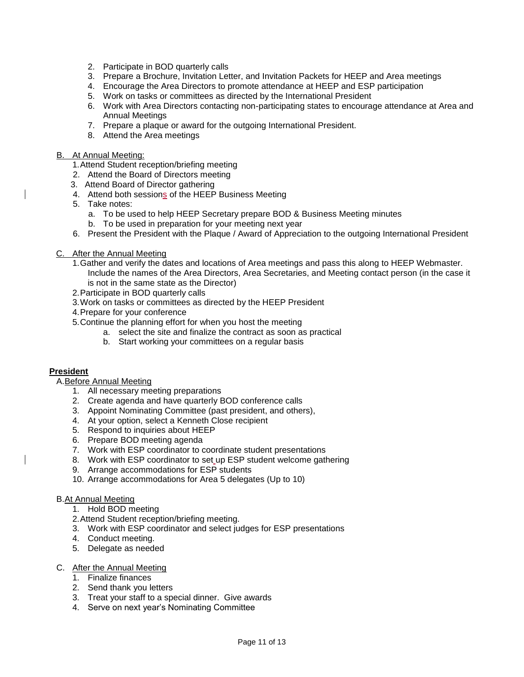- 2. Participate in BOD quarterly calls
- 3. Prepare a Brochure, Invitation Letter, and Invitation Packets for HEEP and Area meetings
- 4. Encourage the Area Directors to promote attendance at HEEP and ESP participation
- 5. Work on tasks or committees as directed by the International President
- 6. Work with Area Directors contacting non-participating states to encourage attendance at Area and Annual Meetings
- 7. Prepare a plaque or award for the outgoing International President.
- 8. Attend the Area meetings
- B. At Annual Meeting:
	- 1.Attend Student reception/briefing meeting
	- 2. Attend the Board of Directors meeting
	- 3. Attend Board of Director gathering
	- 4. Attend both sessions of the HEEP Business Meeting
	- 5. Take notes:
		- a. To be used to help HEEP Secretary prepare BOD & Business Meeting minutes
		- b. To be used in preparation for your meeting next year
	- 6. Present the President with the Plaque / Award of Appreciation to the outgoing International President
- C. After the Annual Meeting
	- 1.Gather and verify the dates and locations of Area meetings and pass this along to HEEP Webmaster. Include the names of the Area Directors, Area Secretaries, and Meeting contact person (in the case it is not in the same state as the Director)
	- 2.Participate in BOD quarterly calls
	- 3.Work on tasks or committees as directed by the HEEP President
	- 4.Prepare for your conference
	- 5.Continue the planning effort for when you host the meeting
		- a. select the site and finalize the contract as soon as practical
		- b. Start working your committees on a regular basis

#### **President**

#### A.Before Annual Meeting

- 1. All necessary meeting preparations
- 2. Create agenda and have quarterly BOD conference calls
- 3. Appoint Nominating Committee (past president, and others),
- 4. At your option, select a Kenneth Close recipient
- 5. Respond to inquiries about HEEP
- 6. Prepare BOD meeting agenda
- 7. Work with ESP coordinator to coordinate student presentations
- 8. Work with ESP coordinator to set up ESP student welcome gathering
- 9. Arrange accommodations for ESP students
- 10. Arrange accommodations for Area 5 delegates (Up to 10)

#### B.At Annual Meeting

- 1. Hold BOD meeting
- 2.Attend Student reception/briefing meeting.
- 3. Work with ESP coordinator and select judges for ESP presentations
- 4. Conduct meeting.
- 5. Delegate as needed

#### C. After the Annual Meeting

- 1. Finalize finances
- 2. Send thank you letters
- 3. Treat your staff to a special dinner. Give awards
- 4. Serve on next year's Nominating Committee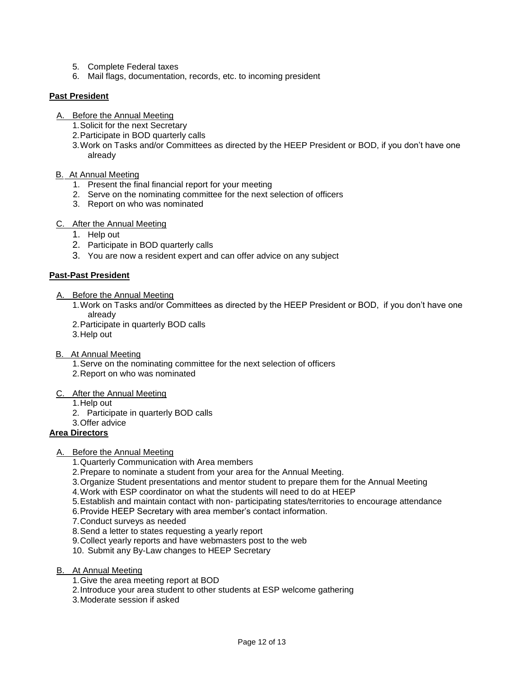- 5. Complete Federal taxes
- 6. Mail flags, documentation, records, etc. to incoming president

# **Past President**

- A. Before the Annual Meeting
	- 1.Solicit for the next Secretary
	- 2.Participate in BOD quarterly calls
	- 3.Work on Tasks and/or Committees as directed by the HEEP President or BOD, if you don't have one already

#### B. At Annual Meeting

- 1. Present the final financial report for your meeting
- 2. Serve on the nominating committee for the next selection of officers
- 3. Report on who was nominated

#### C. After the Annual Meeting

- 1. Help out
- 2. Participate in BOD quarterly calls
- 3. You are now a resident expert and can offer advice on any subject

#### **Past-Past President**

#### A. Before the Annual Meeting

- 1.Work on Tasks and/or Committees as directed by the HEEP President or BOD, if you don't have one already
- 2.Participate in quarterly BOD calls
- 3.Help out

# B. At Annual Meeting

- 1.Serve on the nominating committee for the next selection of officers
- 2.Report on who was nominated

#### C. After the Annual Meeting

- 1.Help out
- 2. Participate in quarterly BOD calls
- 3.Offer advice

# **Area Directors**

#### A. Before the Annual Meeting

- 1.Quarterly Communication with Area members
- 2.Prepare to nominate a student from your area for the Annual Meeting.
- 3.Organize Student presentations and mentor student to prepare them for the Annual Meeting
- 4.Work with ESP coordinator on what the students will need to do at HEEP
- 5.Establish and maintain contact with non- participating states/territories to encourage attendance
- 6.Provide HEEP Secretary with area member's contact information.
- 7.Conduct surveys as needed
- 8.Send a letter to states requesting a yearly report
- 9.Collect yearly reports and have webmasters post to the web
- 10. Submit any By-Law changes to HEEP Secretary
- B. At Annual Meeting
	- 1.Give the area meeting report at BOD
	- 2.Introduce your area student to other students at ESP welcome gathering
	- 3.Moderate session if asked